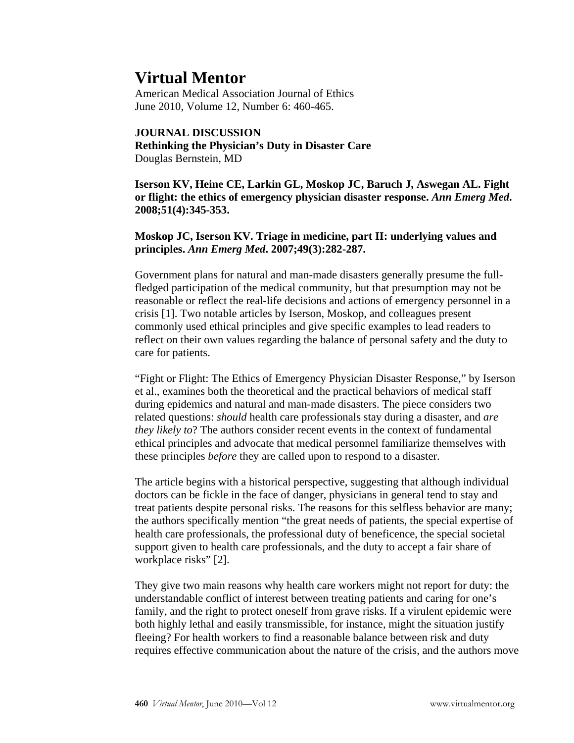# **Virtual Mentor**

American Medical Association Journal of Ethics June 2010, Volume 12, Number 6: 460-465.

#### **JOURNAL DISCUSSION Rethinking the Physician's Duty in Disaster Care**  Douglas Bernstein, MD

**Iserson KV, Heine CE, Larkin GL, Moskop JC, Baruch J, Aswegan AL. Fight or flight: the ethics of emergency physician disaster response.** *Ann Emerg Med***. 2008;51(4):345-353.** 

## **Moskop JC, Iserson KV. Triage in medicine, part II: underlying values and principles.** *Ann Emerg Med***. 2007;49(3):282-287.**

Government plans for natural and man-made disasters generally presume the fullfledged participation of the medical community, but that presumption may not be reasonable or reflect the real-life decisions and actions of emergency personnel in a crisis [1]. Two notable articles by Iserson, Moskop, and colleagues present commonly used ethical principles and give specific examples to lead readers to reflect on their own values regarding the balance of personal safety and the duty to care for patients.

"Fight or Flight: The Ethics of Emergency Physician Disaster Response," by Iserson et al., examines both the theoretical and the practical behaviors of medical staff during epidemics and natural and man-made disasters. The piece considers two related questions: *should* health care professionals stay during a disaster, and *are they likely to*? The authors consider recent events in the context of fundamental ethical principles and advocate that medical personnel familiarize themselves with these principles *before* they are called upon to respond to a disaster.

The article begins with a historical perspective, suggesting that although individual doctors can be fickle in the face of danger, physicians in general tend to stay and treat patients despite personal risks. The reasons for this selfless behavior are many; the authors specifically mention "the great needs of patients, the special expertise of health care professionals, the professional duty of beneficence, the special societal support given to health care professionals, and the duty to accept a fair share of workplace risks" [2].

They give two main reasons why health care workers might not report for duty: the understandable conflict of interest between treating patients and caring for one's family, and the right to protect oneself from grave risks. If a virulent epidemic were both highly lethal and easily transmissible, for instance, might the situation justify fleeing? For health workers to find a reasonable balance between risk and duty requires effective communication about the nature of the crisis, and the authors move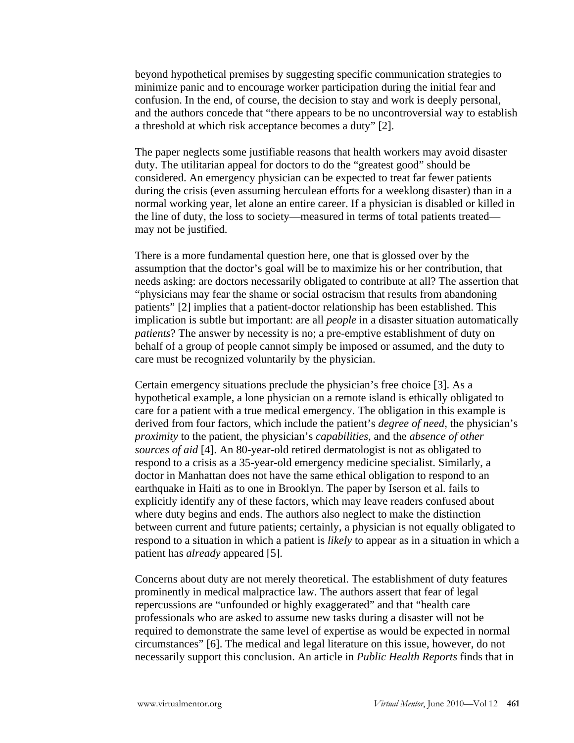beyond hypothetical premises by suggesting specific communication strategies to minimize panic and to encourage worker participation during the initial fear and confusion. In the end, of course, the decision to stay and work is deeply personal, and the authors concede that "there appears to be no uncontroversial way to establish a threshold at which risk acceptance becomes a duty" [2].

The paper neglects some justifiable reasons that health workers may avoid disaster duty. The utilitarian appeal for doctors to do the "greatest good" should be considered. An emergency physician can be expected to treat far fewer patients during the crisis (even assuming herculean efforts for a weeklong disaster) than in a normal working year, let alone an entire career. If a physician is disabled or killed in the line of duty, the loss to society—measured in terms of total patients treated may not be justified.

There is a more fundamental question here, one that is glossed over by the assumption that the doctor's goal will be to maximize his or her contribution, that needs asking: are doctors necessarily obligated to contribute at all? The assertion that "physicians may fear the shame or social ostracism that results from abandoning patients" [2] implies that a patient-doctor relationship has been established. This implication is subtle but important: are all *people* in a disaster situation automatically *patients*? The answer by necessity is no; a pre-emptive establishment of duty on behalf of a group of people cannot simply be imposed or assumed, and the duty to care must be recognized voluntarily by the physician.

Certain emergency situations preclude the physician's free choice [3]. As a hypothetical example, a lone physician on a remote island is ethically obligated to care for a patient with a true medical emergency. The obligation in this example is derived from four factors, which include the patient's *degree of need*, the physician's *proximity* to the patient, the physician's *capabilities*, and the *absence of other sources of aid* [4]. An 80-year-old retired dermatologist is not as obligated to respond to a crisis as a 35-year-old emergency medicine specialist. Similarly, a doctor in Manhattan does not have the same ethical obligation to respond to an earthquake in Haiti as to one in Brooklyn. The paper by Iserson et al. fails to explicitly identify any of these factors, which may leave readers confused about where duty begins and ends. The authors also neglect to make the distinction between current and future patients; certainly, a physician is not equally obligated to respond to a situation in which a patient is *likely* to appear as in a situation in which a patient has *already* appeared [5].

Concerns about duty are not merely theoretical. The establishment of duty features prominently in medical malpractice law. The authors assert that fear of legal repercussions are "unfounded or highly exaggerated" and that "health care professionals who are asked to assume new tasks during a disaster will not be required to demonstrate the same level of expertise as would be expected in normal circumstances" [6]. The medical and legal literature on this issue, however, do not necessarily support this conclusion. An article in *Public Health Reports* finds that in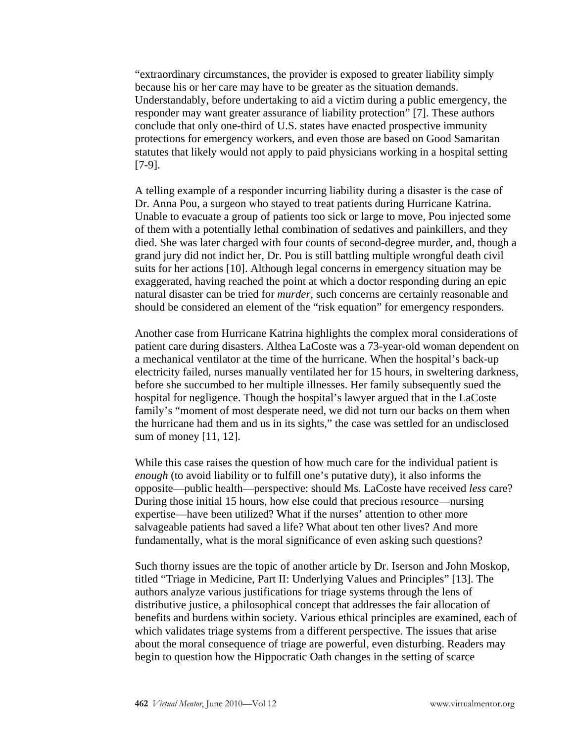"extraordinary circumstances, the provider is exposed to greater liability simply because his or her care may have to be greater as the situation demands. Understandably, before undertaking to aid a victim during a public emergency, the responder may want greater assurance of liability protection" [7]. These authors conclude that only one-third of U.S. states have enacted prospective immunity protections for emergency workers, and even those are based on Good Samaritan statutes that likely would not apply to paid physicians working in a hospital setting [7-9].

A telling example of a responder incurring liability during a disaster is the case of Dr. Anna Pou, a surgeon who stayed to treat patients during Hurricane Katrina. Unable to evacuate a group of patients too sick or large to move, Pou injected some of them with a potentially lethal combination of sedatives and painkillers, and they died. She was later charged with four counts of second-degree murder, and, though a grand jury did not indict her, Dr. Pou is still battling multiple wrongful death civil suits for her actions [10]. Although legal concerns in emergency situation may be exaggerated, having reached the point at which a doctor responding during an epic natural disaster can be tried for *murder*, such concerns are certainly reasonable and should be considered an element of the "risk equation" for emergency responders.

Another case from Hurricane Katrina highlights the complex moral considerations of patient care during disasters. Althea LaCoste was a 73-year-old woman dependent on a mechanical ventilator at the time of the hurricane. When the hospital's back-up electricity failed, nurses manually ventilated her for 15 hours, in sweltering darkness, before she succumbed to her multiple illnesses. Her family subsequently sued the hospital for negligence. Though the hospital's lawyer argued that in the LaCoste family's "moment of most desperate need, we did not turn our backs on them when the hurricane had them and us in its sights," the case was settled for an undisclosed sum of money [11, 12].

While this case raises the question of how much care for the individual patient is *enough* (to avoid liability or to fulfill one's putative duty), it also informs the opposite—public health—perspective: should Ms. LaCoste have received *less* care? During those initial 15 hours, how else could that precious resource—nursing expertise—have been utilized? What if the nurses' attention to other more salvageable patients had saved a life? What about ten other lives? And more fundamentally, what is the moral significance of even asking such questions?

Such thorny issues are the topic of another article by Dr. Iserson and John Moskop, titled "Triage in Medicine, Part II: Underlying Values and Principles" [13]. The authors analyze various justifications for triage systems through the lens of distributive justice, a philosophical concept that addresses the fair allocation of benefits and burdens within society. Various ethical principles are examined, each of which validates triage systems from a different perspective. The issues that arise about the moral consequence of triage are powerful, even disturbing. Readers may begin to question how the Hippocratic Oath changes in the setting of scarce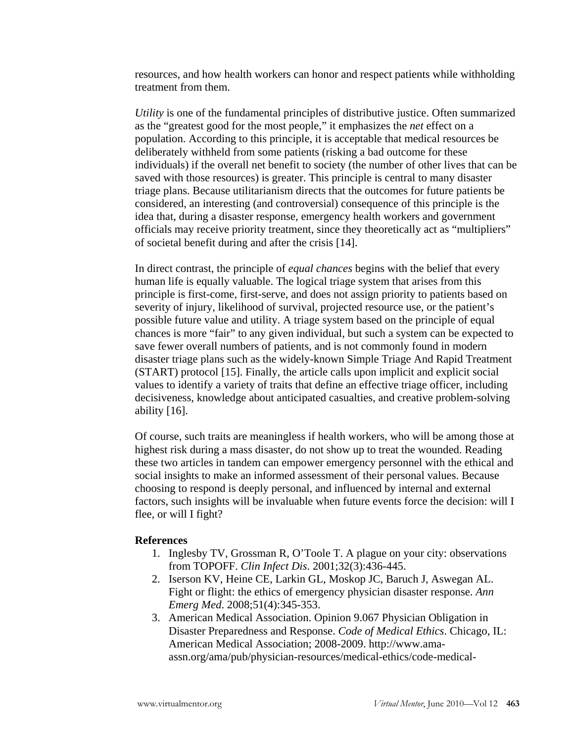resources, and how health workers can honor and respect patients while withholding treatment from them.

*Utility* is one of the fundamental principles of distributive justice. Often summarized as the "greatest good for the most people," it emphasizes the *net* effect on a population. According to this principle, it is acceptable that medical resources be deliberately withheld from some patients (risking a bad outcome for these individuals) if the overall net benefit to society (the number of other lives that can be saved with those resources) is greater. This principle is central to many disaster triage plans. Because utilitarianism directs that the outcomes for future patients be considered, an interesting (and controversial) consequence of this principle is the idea that, during a disaster response, emergency health workers and government officials may receive priority treatment, since they theoretically act as "multipliers" of societal benefit during and after the crisis [14].

In direct contrast, the principle of *equal chances* begins with the belief that every human life is equally valuable. The logical triage system that arises from this principle is first-come, first-serve, and does not assign priority to patients based on severity of injury, likelihood of survival, projected resource use, or the patient's possible future value and utility. A triage system based on the principle of equal chances is more "fair" to any given individual, but such a system can be expected to save fewer overall numbers of patients, and is not commonly found in modern disaster triage plans such as the widely-known Simple Triage And Rapid Treatment (START) protocol [15]. Finally, the article calls upon implicit and explicit social values to identify a variety of traits that define an effective triage officer, including decisiveness, knowledge about anticipated casualties, and creative problem-solving ability [16].

Of course, such traits are meaningless if health workers, who will be among those at highest risk during a mass disaster, do not show up to treat the wounded. Reading these two articles in tandem can empower emergency personnel with the ethical and social insights to make an informed assessment of their personal values. Because choosing to respond is deeply personal, and influenced by internal and external factors, such insights will be invaluable when future events force the decision: will I flee, or will I fight?

#### **References**

- 1. Inglesby TV, Grossman R, O'Toole T. A plague on your city: observations from TOPOFF. *Clin Infect Dis*. 2001;32(3):436-445.
- 2. Iserson KV, Heine CE, Larkin GL, Moskop JC, Baruch J, Aswegan AL. Fight or flight: the ethics of emergency physician disaster response. *Ann Emerg Med*. 2008;51(4):345-353.
- 3. American Medical Association. Opinion 9.067 Physician Obligation in Disaster Preparedness and Response. *Code of Medical Ethics*. Chicago, IL: American Medical Association; 2008-2009. http://www.amaassn.org/ama/pub/physician-resources/medical-ethics/code-medical-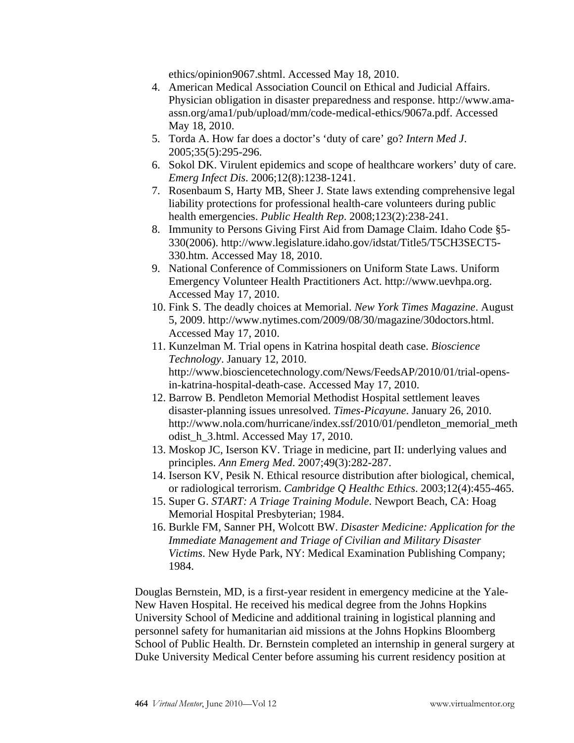ethics/opinion9067.shtml. Accessed May 18, 2010.

- 4. American Medical Association Council on Ethical and Judicial Affairs. Physician obligation in disaster preparedness and response. http://www.amaassn.org/ama1/pub/upload/mm/code-medical-ethics/9067a.pdf. Accessed May 18, 2010.
- 5. Torda A. How far does a doctor's 'duty of care' go? *Intern Med J*. 2005;35(5):295-296.
- 6. Sokol DK. Virulent epidemics and scope of healthcare workers' duty of care. *Emerg Infect Dis*. 2006;12(8):1238-1241.
- 7. Rosenbaum S, Harty MB, Sheer J. State laws extending comprehensive legal liability protections for professional health-care volunteers during public health emergencies. *Public Health Rep*. 2008;123(2):238-241.
- 8. Immunity to Persons Giving First Aid from Damage Claim. Idaho Code §5- 330(2006). http://www.legislature.idaho.gov/idstat/Title5/T5CH3SECT5- 330.htm. Accessed May 18, 2010.
- 9. National Conference of Commissioners on Uniform State Laws. Uniform Emergency Volunteer Health Practitioners Act. http://www.uevhpa.org. Accessed May 17, 2010.
- 10. Fink S. The deadly choices at Memorial. *New York Times Magazine*. August 5, 2009. http://www.nytimes.com/2009/08/30/magazine/30doctors.html. Accessed May 17, 2010.
- 11. Kunzelman M. Trial opens in Katrina hospital death case. *Bioscience Technology*. January 12, 2010. http://www.biosciencetechnology.com/News/FeedsAP/2010/01/trial-opensin-katrina-hospital-death-case. Accessed May 17, 2010.
- 12. Barrow B. Pendleton Memorial Methodist Hospital settlement leaves disaster-planning issues unresolved. *Times-Picayune*. January 26, 2010. http://www.nola.com/hurricane/index.ssf/2010/01/pendleton\_memorial\_meth odist\_h\_3.html. Accessed May 17, 2010.
- 13. Moskop JC, Iserson KV. Triage in medicine, part II: underlying values and principles. *Ann Emerg Med*. 2007;49(3):282-287.
- 14. Iserson KV, Pesik N. Ethical resource distribution after biological, chemical, or radiological terrorism. *Cambridge Q Healthc Ethics*. 2003;12(4):455-465.
- 15. Super G. *START: A Triage Training Module*. Newport Beach, CA: Hoag Memorial Hospital Presbyterian; 1984.
- 16. Burkle FM, Sanner PH, Wolcott BW. *Disaster Medicine: Application for the Immediate Management and Triage of Civilian and Military Disaster Victims*. New Hyde Park, NY: Medical Examination Publishing Company; 1984.

Douglas Bernstein, MD, is a first-year resident in emergency medicine at the Yale-New Haven Hospital. He received his medical degree from the Johns Hopkins University School of Medicine and additional training in logistical planning and personnel safety for humanitarian aid missions at the Johns Hopkins Bloomberg School of Public Health. Dr. Bernstein completed an internship in general surgery at Duke University Medical Center before assuming his current residency position at